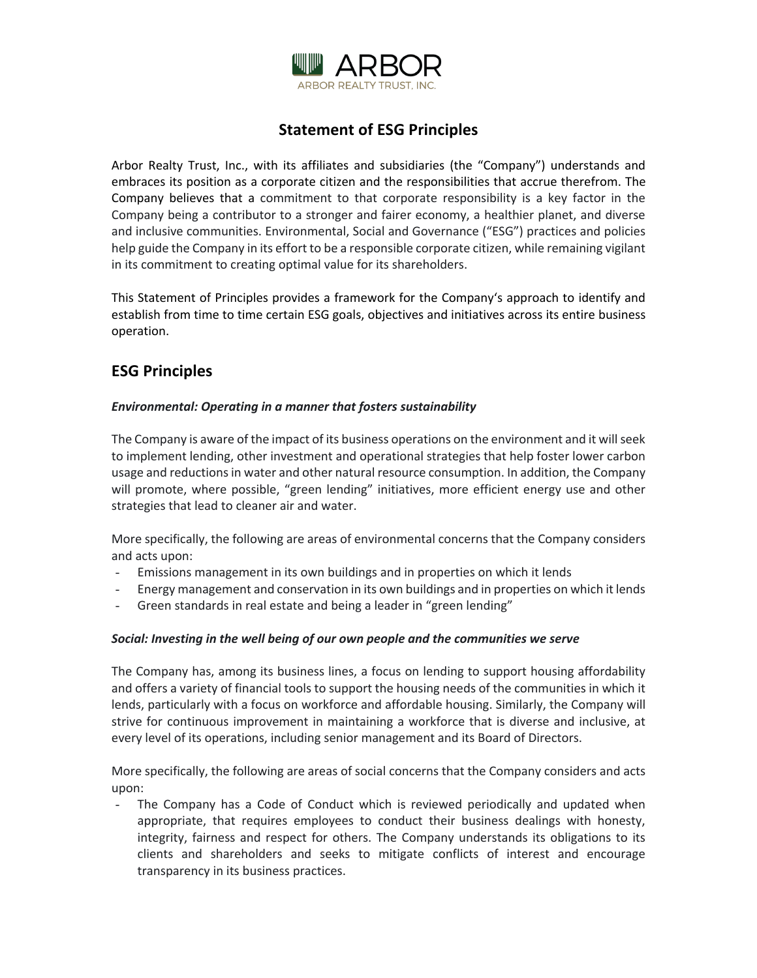

# **Statement of ESG Principles**

Arbor Realty Trust, Inc., with its affiliates and subsidiaries (the "Company") understands and embraces its position as a corporate citizen and the responsibilities that accrue therefrom. The Company believes that a commitment to that corporate responsibility is a key factor in the Company being a contributor to a stronger and fairer economy, a healthier planet, and diverse and inclusive communities. Environmental, Social and Governance ("ESG") practices and policies help guide the Company in its effort to be a responsible corporate citizen, while remaining vigilant in its commitment to creating optimal value for its shareholders.

This Statement of Principles provides a framework for the Company's approach to identify and establish from time to time certain ESG goals, objectives and initiatives across its entire business operation.

## **ESG Principles**

#### *Environmental: Operating in a manner that fosters sustainability*

The Company is aware of the impact of its business operations on the environment and it will seek to implement lending, other investment and operational strategies that help foster lower carbon usage and reductions in water and other natural resource consumption. In addition, the Company will promote, where possible, "green lending" initiatives, more efficient energy use and other strategies that lead to cleaner air and water.

More specifically, the following are areas of environmental concerns that the Company considers and acts upon:

- Emissions management in its own buildings and in properties on which it lends
- Energy management and conservation in its own buildings and in properties on which it lends
- Green standards in real estate and being a leader in "green lending"

#### *Social: Investing in the well being of our own people and the communities we serve*

The Company has, among its business lines, a focus on lending to support housing affordability and offers a variety of financial tools to support the housing needs of the communities in which it lends, particularly with a focus on workforce and affordable housing. Similarly, the Company will strive for continuous improvement in maintaining a workforce that is diverse and inclusive, at every level of its operations, including senior management and its Board of Directors.

More specifically, the following are areas of social concerns that the Company considers and acts upon:

- The Company has a Code of Conduct which is reviewed periodically and updated when appropriate, that requires employees to conduct their business dealings with honesty, integrity, fairness and respect for others. The Company understands its obligations to its clients and shareholders and seeks to mitigate conflicts of interest and encourage transparency in its business practices.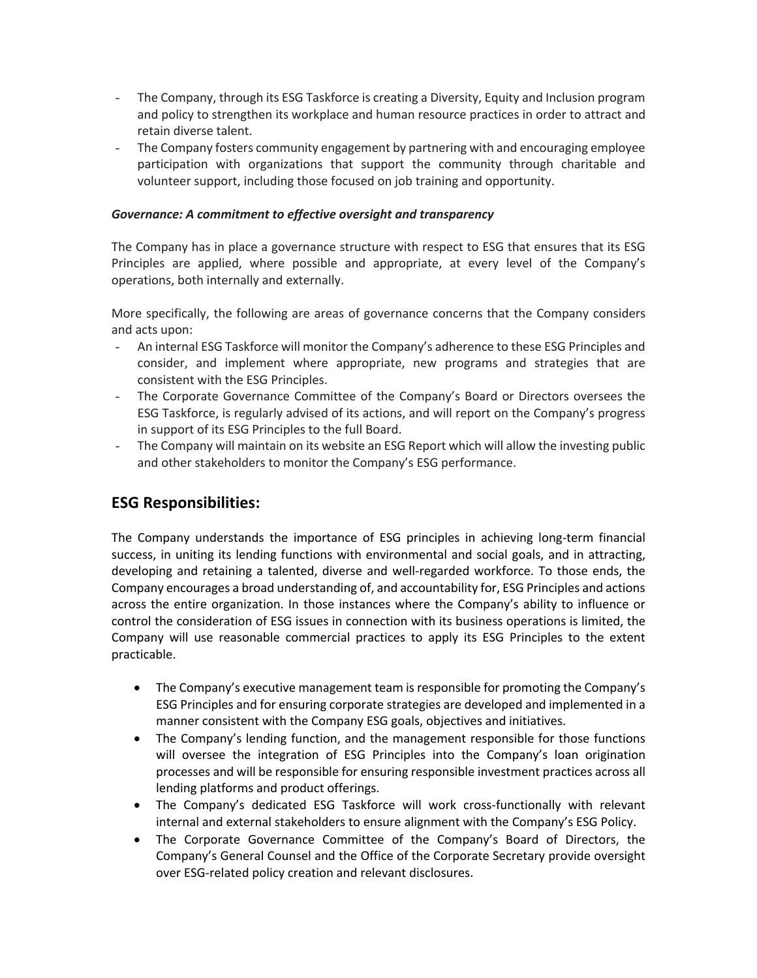- The Company, through its ESG Taskforce is creating a Diversity, Equity and Inclusion program and policy to strengthen its workplace and human resource practices in order to attract and retain diverse talent.
- The Company fosters community engagement by partnering with and encouraging employee participation with organizations that support the community through charitable and volunteer support, including those focused on job training and opportunity.

#### *Governance: A commitment to effective oversight and transparency*

The Company has in place a governance structure with respect to ESG that ensures that its ESG Principles are applied, where possible and appropriate, at every level of the Company's operations, both internally and externally.

More specifically, the following are areas of governance concerns that the Company considers and acts upon:

- An internal ESG Taskforce will monitor the Company's adherence to these ESG Principles and consider, and implement where appropriate, new programs and strategies that are consistent with the ESG Principles.
- The Corporate Governance Committee of the Company's Board or Directors oversees the ESG Taskforce, is regularly advised of its actions, and will report on the Company's progress in support of its ESG Principles to the full Board.
- The Company will maintain on its website an ESG Report which will allow the investing public and other stakeholders to monitor the Company's ESG performance.

## **ESG Responsibilities:**

The Company understands the importance of ESG principles in achieving long-term financial success, in uniting its lending functions with environmental and social goals, and in attracting, developing and retaining a talented, diverse and well-regarded workforce. To those ends, the Company encourages a broad understanding of, and accountability for, ESG Principles and actions across the entire organization. In those instances where the Company's ability to influence or control the consideration of ESG issues in connection with its business operations is limited, the Company will use reasonable commercial practices to apply its ESG Principles to the extent practicable.

- The Company's executive management team is responsible for promoting the Company's ESG Principles and for ensuring corporate strategies are developed and implemented in a manner consistent with the Company ESG goals, objectives and initiatives.
- The Company's lending function, and the management responsible for those functions will oversee the integration of ESG Principles into the Company's loan origination processes and will be responsible for ensuring responsible investment practices across all lending platforms and product offerings.
- The Company's dedicated ESG Taskforce will work cross-functionally with relevant internal and external stakeholders to ensure alignment with the Company's ESG Policy.
- The Corporate Governance Committee of the Company's Board of Directors, the Company's General Counsel and the Office of the Corporate Secretary provide oversight over ESG-related policy creation and relevant disclosures.